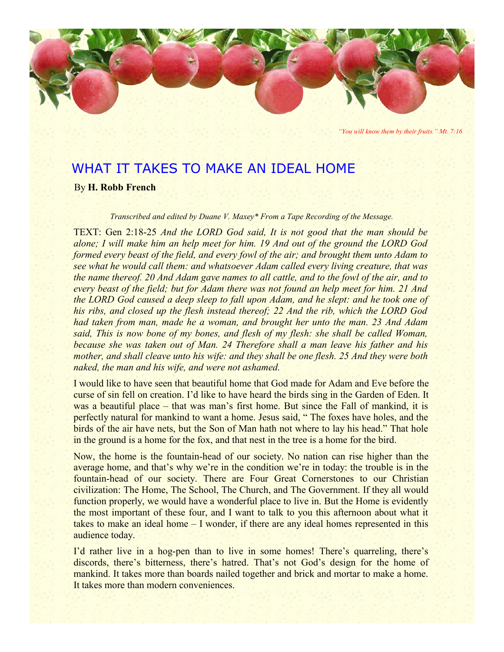

*"You will know them by their fruits." Mt. 7:16*

# WHAT IT TAKES TO MAKE AN IDEAL HOME

By **H. Robb French**

*Transcribed and edited by Duane V. Maxey\* From a Tape Recording of the Message.*

TEXT: Gen 2:18-25 *And the LORD God said, It is not good that the man should be alone; I will make him an help meet for him. 19 And out of the ground the LORD God formed every beast of the field, and every fowl of the air; and brought them unto Adam to see what he would call them: and whatsoever Adam called every living creature, that was the name thereof. 20 And Adam gave names to all cattle, and to the fowl of the air, and to every beast of the field; but for Adam there was not found an help meet for him. 21 And the LORD God caused a deep sleep to fall upon Adam, and he slept: and he took one of his ribs, and closed up the flesh instead thereof; 22 And the rib, which the LORD God had taken from man, made he a woman, and brought her unto the man. 23 And Adam said, This is now bone of my bones, and flesh of my flesh: she shall be called Woman, because she was taken out of Man. 24 Therefore shall a man leave his father and his mother, and shall cleave unto his wife: and they shall be one flesh. 25 And they were both naked, the man and his wife, and were not ashamed.*

I would like to have seen that beautiful home that God made for Adam and Eve before the curse of sin fell on creation. I'd like to have heard the birds sing in the Garden of Eden. It was a beautiful place – that was man's first home. But since the Fall of mankind, it is perfectly natural for mankind to want a home. Jesus said, " The foxes have holes, and the birds of the air have nets, but the Son of Man hath not where to lay his head." That hole in the ground is a home for the fox, and that nest in the tree is a home for the bird.

Now, the home is the fountain-head of our society. No nation can rise higher than the average home, and that's why we're in the condition we're in today: the trouble is in the fountain-head of our society. There are Four Great Cornerstones to our Christian civilization: The Home, The School, The Church, and The Government. If they all would function properly, we would have a wonderful place to live in. But the Home is evidently the most important of these four, and I want to talk to you this afternoon about what it takes to make an ideal home – I wonder, if there are any ideal homes represented in this audience today.

I'd rather live in a hog-pen than to live in some homes! There's quarreling, there's discords, there's bitterness, there's hatred. That's not God's design for the home of mankind. It takes more than boards nailed together and brick and mortar to make a home. It takes more than modern conveniences.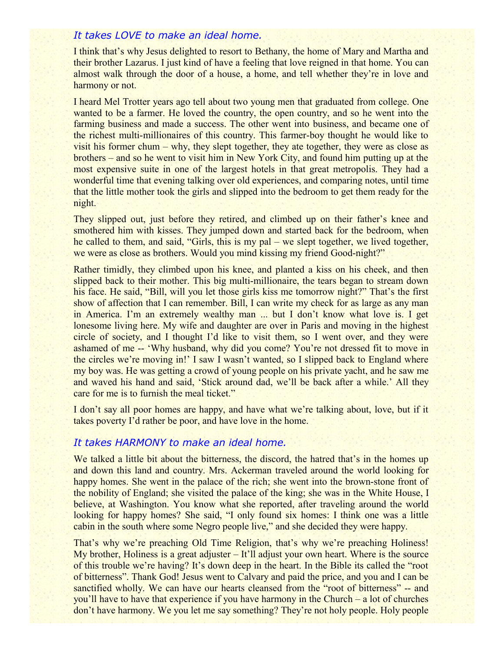## *It takes LOVE to make an ideal home.*

I think that's why Jesus delighted to resort to Bethany, the home of Mary and Martha and their brother Lazarus. I just kind of have a feeling that love reigned in that home. You can almost walk through the door of a house, a home, and tell whether they're in love and harmony or not.

I heard Mel Trotter years ago tell about two young men that graduated from college. One wanted to be a farmer. He loved the country, the open country, and so he went into the farming business and made a success. The other went into business, and became one of the richest multi-millionaires of this country. This farmer-boy thought he would like to visit his former chum – why, they slept together, they ate together, they were as close as brothers – and so he went to visit him in New York City, and found him putting up at the most expensive suite in one of the largest hotels in that great metropolis. They had a wonderful time that evening talking over old experiences, and comparing notes, until time that the little mother took the girls and slipped into the bedroom to get them ready for the night.

They slipped out, just before they retired, and climbed up on their father's knee and smothered him with kisses. They jumped down and started back for the bedroom, when he called to them, and said, "Girls, this is my pal – we slept together, we lived together, we were as close as brothers. Would you mind kissing my friend Good-night?"

Rather timidly, they climbed upon his knee, and planted a kiss on his cheek, and then slipped back to their mother. This big multi-millionaire, the tears began to stream down his face. He said, "Bill, will you let those girls kiss me tomorrow night?" That's the first show of affection that I can remember. Bill, I can write my check for as large as any man in America. I'm an extremely wealthy man ... but I don't know what love is. I get lonesome living here. My wife and daughter are over in Paris and moving in the highest circle of society, and I thought I'd like to visit them, so I went over, and they were ashamed of me -- 'Why husband, why did you come? You're not dressed fit to move in the circles we're moving in!' I saw I wasn't wanted, so I slipped back to England where my boy was. He was getting a crowd of young people on his private yacht, and he saw me and waved his hand and said, 'Stick around dad, we'll be back after a while.' All they care for me is to furnish the meal ticket."

I don't say all poor homes are happy, and have what we're talking about, love, but if it takes poverty I'd rather be poor, and have love in the home.

### *It takes HARMONY to make an ideal home.*

We talked a little bit about the bitterness, the discord, the hatred that's in the homes up and down this land and country. Mrs. Ackerman traveled around the world looking for happy homes. She went in the palace of the rich; she went into the brown-stone front of the nobility of England; she visited the palace of the king; she was in the White House, I believe, at Washington. You know what she reported, after traveling around the world looking for happy homes? She said, "I only found six homes: I think one was a little cabin in the south where some Negro people live," and she decided they were happy.

That's why we're preaching Old Time Religion, that's why we're preaching Holiness! My brother, Holiness is a great adjuster – It'll adjust your own heart. Where is the source of this trouble we're having? It's down deep in the heart. In the Bible its called the "root of bitterness". Thank God! Jesus went to Calvary and paid the price, and you and I can be sanctified wholly. We can have our hearts cleansed from the "root of bitterness" -- and you'll have to have that experience if you have harmony in the Church – a lot of churches don't have harmony. We you let me say something? They're not holy people. Holy people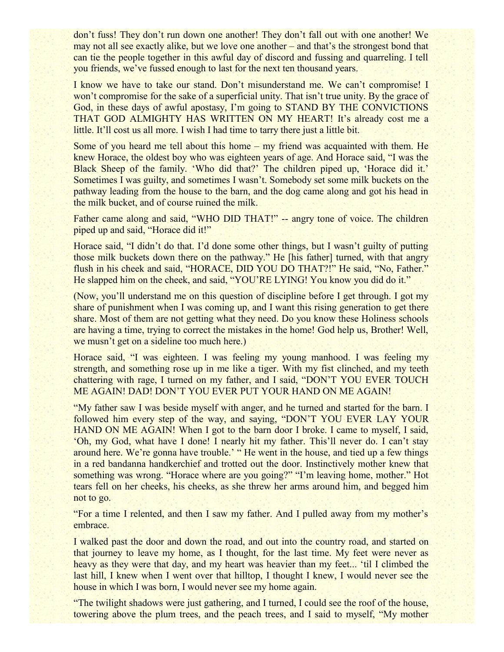don't fuss! They don't run down one another! They don't fall out with one another! We may not all see exactly alike, but we love one another – and that's the strongest bond that can tie the people together in this awful day of discord and fussing and quarreling. I tell you friends, we've fussed enough to last for the next ten thousand years.

I know we have to take our stand. Don't misunderstand me. We can't compromise! I won't compromise for the sake of a superficial unity. That isn't true unity. By the grace of God, in these days of awful apostasy, I'm going to STAND BY THE CONVICTIONS THAT GOD ALMIGHTY HAS WRITTEN ON MY HEART! It's already cost me a little. It'll cost us all more. I wish I had time to tarry there just a little bit.

Some of you heard me tell about this home – my friend was acquainted with them. He knew Horace, the oldest boy who was eighteen years of age. And Horace said, "I was the Black Sheep of the family. 'Who did that?' The children piped up, 'Horace did it.' Sometimes I was guilty, and sometimes I wasn't. Somebody set some milk buckets on the pathway leading from the house to the barn, and the dog came along and got his head in the milk bucket, and of course ruined the milk.

Father came along and said, "WHO DID THAT!" -- angry tone of voice. The children piped up and said, "Horace did it!"

Horace said, "I didn't do that. I'd done some other things, but I wasn't guilty of putting those milk buckets down there on the pathway." He [his father] turned, with that angry flush in his cheek and said, "HORACE, DID YOU DO THAT?!" He said, "No, Father." He slapped him on the cheek, and said, "YOU'RE LYING! You know you did do it."

(Now, you'll understand me on this question of discipline before I get through. I got my share of punishment when I was coming up, and I want this rising generation to get there share. Most of them are not getting what they need. Do you know these Holiness schools are having a time, trying to correct the mistakes in the home! God help us, Brother! Well, we musn't get on a sideline too much here.)

Horace said, "I was eighteen. I was feeling my young manhood. I was feeling my strength, and something rose up in me like a tiger. With my fist clinched, and my teeth chattering with rage, I turned on my father, and I said, "DON'T YOU EVER TOUCH ME AGAIN! DAD! DON'T YOU EVER PUT YOUR HAND ON ME AGAIN!

"My father saw I was beside myself with anger, and he turned and started for the barn. I followed him every step of the way, and saying, "DON'T YOU EVER LAY YOUR HAND ON ME AGAIN! When I got to the barn door I broke. I came to myself, I said, 'Oh, my God, what have I done! I nearly hit my father. This'll never do. I can't stay around here. We're gonna have trouble.' " He went in the house, and tied up a few things in a red bandanna handkerchief and trotted out the door. Instinctively mother knew that something was wrong. "Horace where are you going?" "I'm leaving home, mother." Hot tears fell on her cheeks, his cheeks, as she threw her arms around him, and begged him not to go.

"For a time I relented, and then I saw my father. And I pulled away from my mother's embrace.

I walked past the door and down the road, and out into the country road, and started on that journey to leave my home, as I thought, for the last time. My feet were never as heavy as they were that day, and my heart was heavier than my feet... 'til I climbed the last hill, I knew when I went over that hilltop, I thought I knew, I would never see the house in which I was born, I would never see my home again.

"The twilight shadows were just gathering, and I turned, I could see the roof of the house, towering above the plum trees, and the peach trees, and I said to myself, "My mother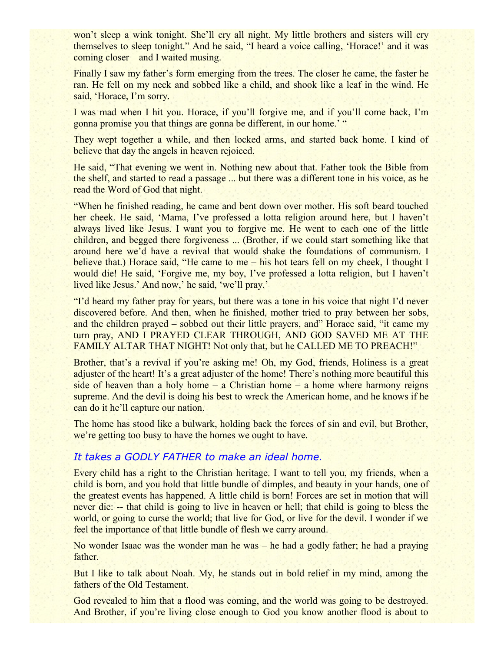won't sleep a wink tonight. She'll cry all night. My little brothers and sisters will cry themselves to sleep tonight." And he said, "I heard a voice calling, 'Horace!' and it was coming closer – and I waited musing.

Finally I saw my father's form emerging from the trees. The closer he came, the faster he ran. He fell on my neck and sobbed like a child, and shook like a leaf in the wind. He said, 'Horace, I'm sorry.

I was mad when I hit you. Horace, if you'll forgive me, and if you'll come back, I'm gonna promise you that things are gonna be different, in our home.' "

They wept together a while, and then locked arms, and started back home. I kind of believe that day the angels in heaven rejoiced.

He said, "That evening we went in. Nothing new about that. Father took the Bible from the shelf, and started to read a passage ... but there was a different tone in his voice, as he read the Word of God that night.

"When he finished reading, he came and bent down over mother. His soft beard touched her cheek. He said, 'Mama, I've professed a lotta religion around here, but I haven't always lived like Jesus. I want you to forgive me. He went to each one of the little children, and begged there forgiveness ... (Brother, if we could start something like that around here we'd have a revival that would shake the foundations of communism. I believe that.) Horace said, "He came to me – his hot tears fell on my cheek, I thought I would die! He said, 'Forgive me, my boy, I've professed a lotta religion, but I haven't lived like Jesus.' And now,' he said, 'we'll pray.'

"I'd heard my father pray for years, but there was a tone in his voice that night I'd never discovered before. And then, when he finished, mother tried to pray between her sobs, and the children prayed – sobbed out their little prayers, and" Horace said, "it came my turn pray, AND I PRAYED CLEAR THROUGH, AND GOD SAVED ME AT THE FAMILY ALTAR THAT NIGHT! Not only that, but he CALLED ME TO PREACH!"

Brother, that's a revival if you're asking me! Oh, my God, friends, Holiness is a great adjuster of the heart! It's a great adjuster of the home! There's nothing more beautiful this side of heaven than a holy home – a Christian home – a home where harmony reigns supreme. And the devil is doing his best to wreck the American home, and he knows if he can do it he'll capture our nation.

The home has stood like a bulwark, holding back the forces of sin and evil, but Brother, we're getting too busy to have the homes we ought to have.

## *It takes a GODLY FATHER to make an ideal home.*

Every child has a right to the Christian heritage. I want to tell you, my friends, when a child is born, and you hold that little bundle of dimples, and beauty in your hands, one of the greatest events has happened. A little child is born! Forces are set in motion that will never die: -- that child is going to live in heaven or hell; that child is going to bless the world, or going to curse the world; that live for God, or live for the devil. I wonder if we feel the importance of that little bundle of flesh we carry around.

No wonder Isaac was the wonder man he was – he had a godly father; he had a praying father.

But I like to talk about Noah. My, he stands out in bold relief in my mind, among the fathers of the Old Testament.

God revealed to him that a flood was coming, and the world was going to be destroyed. And Brother, if you're living close enough to God you know another flood is about to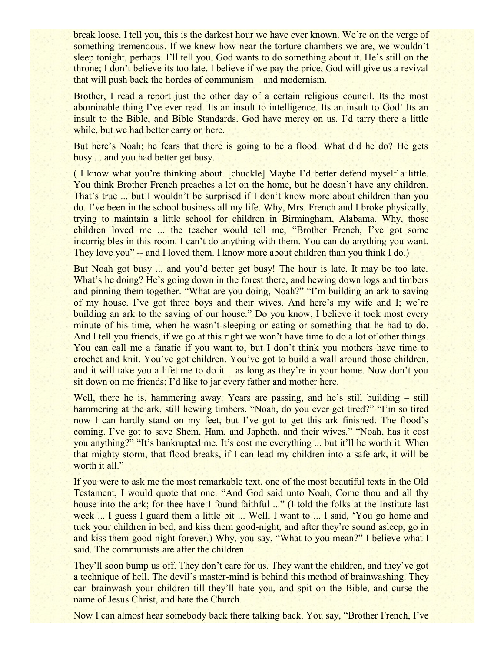break loose. I tell you, this is the darkest hour we have ever known. We're on the verge of something tremendous. If we knew how near the torture chambers we are, we wouldn't sleep tonight, perhaps. I'll tell you, God wants to do something about it. He's still on the throne; I don't believe its too late. I believe if we pay the price, God will give us a revival that will push back the hordes of communism – and modernism.

Brother, I read a report just the other day of a certain religious council. Its the most abominable thing I've ever read. Its an insult to intelligence. Its an insult to God! Its an insult to the Bible, and Bible Standards. God have mercy on us. I'd tarry there a little while, but we had better carry on here.

But here's Noah; he fears that there is going to be a flood. What did he do? He gets busy ... and you had better get busy.

( I know what you're thinking about. [chuckle] Maybe I'd better defend myself a little. You think Brother French preaches a lot on the home, but he doesn't have any children. That's true ... but I wouldn't be surprised if I don't know more about children than you do. I've been in the school business all my life. Why, Mrs. French and I broke physically, trying to maintain a little school for children in Birmingham, Alabama. Why, those children loved me ... the teacher would tell me, "Brother French, I've got some incorrigibles in this room. I can't do anything with them. You can do anything you want. They love you" -- and I loved them. I know more about children than you think I do.)

But Noah got busy ... and you'd better get busy! The hour is late. It may be too late. What's he doing? He's going down in the forest there, and hewing down logs and timbers and pinning them together. "What are you doing, Noah?" "I'm building an ark to saving of my house. I've got three boys and their wives. And here's my wife and I; we're building an ark to the saving of our house." Do you know, I believe it took most every minute of his time, when he wasn't sleeping or eating or something that he had to do. And I tell you friends, if we go at this right we won't have time to do a lot of other things. You can call me a fanatic if you want to, but I don't think you mothers have time to crochet and knit. You've got children. You've got to build a wall around those children, and it will take you a lifetime to do it – as long as they're in your home. Now don't you sit down on me friends; I'd like to jar every father and mother here.

Well, there he is, hammering away. Years are passing, and he's still building – still hammering at the ark, still hewing timbers. "Noah, do you ever get tired?" "I'm so tired now I can hardly stand on my feet, but I've got to get this ark finished. The flood's coming. I've got to save Shem, Ham, and Japheth, and their wives." "Noah, has it cost you anything?" "It's bankrupted me. It's cost me everything ... but it'll be worth it. When that mighty storm, that flood breaks, if I can lead my children into a safe ark, it will be worth it all."

If you were to ask me the most remarkable text, one of the most beautiful texts in the Old Testament, I would quote that one: "And God said unto Noah, Come thou and all thy house into the ark; for thee have I found faithful ..." (I told the folks at the Institute last week ... I guess I guard them a little bit ... Well, I want to ... I said, 'You go home and tuck your children in bed, and kiss them good-night, and after they're sound asleep, go in and kiss them good-night forever.) Why, you say, "What to you mean?" I believe what I said. The communists are after the children.

They'll soon bump us off. They don't care for us. They want the children, and they've got a technique of hell. The devil's master-mind is behind this method of brainwashing. They can brainwash your children till they'll hate you, and spit on the Bible, and curse the name of Jesus Christ, and hate the Church.

Now I can almost hear somebody back there talking back. You say, "Brother French, I've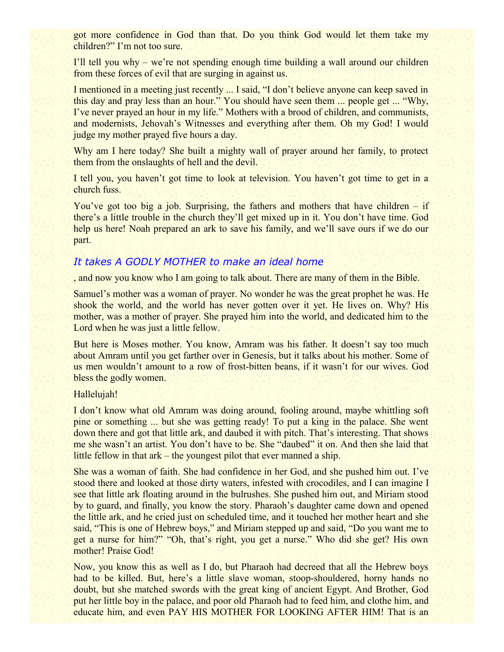got more confidence in God than that. Do you think God would let them take my children?" I'm not too sure.

I'll tell you why – we're not spending enough time building a wall around our children from these forces of evil that are surging in against us.

I mentioned in a meeting just recently ... I said, "I don't believe anyone can keep saved in this day and pray less than an hour." You should have seen them ... people get ... "Why, I've never prayed an hour in my life." Mothers with a brood of children, and communists, and modernists, Jehovah's Witnesses and everything after them. Oh my God! I would judge my mother prayed five hours a day.

Why am I here today? She built a mighty wall of prayer around her family, to protect them from the onslaughts of hell and the devil.

I tell you, you haven't got time to look at television. You haven't got time to get in a church fuss.

You've got too big a job. Surprising, the fathers and mothers that have children – if there's a little trouble in the church they'll get mixed up in it. You don't have time. God help us here! Noah prepared an ark to save his family, and we'll save ours if we do our part.

## *It takes A GODLY MOTHER to make an ideal home*

, and now you know who I am going to talk about. There are many of them in the Bible.

Samuel's mother was a woman of prayer. No wonder he was the great prophet he was. He shook the world, and the world has never gotten over it yet. He lives on. Why? His mother, was a mother of prayer. She prayed him into the world, and dedicated him to the Lord when he was just a little fellow.

But here is Moses mother. You know, Amram was his father. It doesn't say too much about Amram until you get farther over in Genesis, but it talks about his mother. Some of us men wouldn't amount to a row of frost-bitten beans, if it wasn't for our wives. God bless the godly women.

#### Hallelujah!

I don't know what old Amram was doing around, fooling around, maybe whittling soft pine or something ... but she was getting ready! To put a king in the palace. She went down there and got that little ark, and daubed it with pitch. That's interesting. That shows me she wasn't an artist. You don't have to be. She "daubed" it on. And then she laid that little fellow in that ark – the youngest pilot that ever manned a ship.

She was a woman of faith. She had confidence in her God, and she pushed him out. I've stood there and looked at those dirty waters, infested with crocodiles, and I can imagine I see that little ark floating around in the bulrushes. She pushed him out, and Miriam stood by to guard, and finally, you know the story. Pharaoh's daughter came down and opened the little ark, and he cried just on scheduled time, and it touched her mother heart and she said, "This is one of Hebrew boys," and Miriam stepped up and said, "Do you want me to get a nurse for him?" "Oh, that's right, you get a nurse." Who did she get? His own mother! Praise God!

Now, you know this as well as I do, but Pharaoh had decreed that all the Hebrew boys had to be killed. But, here's a little slave woman, stoop-shouldered, horny hands no doubt, but she matched swords with the great king of ancient Egypt. And Brother, God put her little boy in the palace, and poor old Pharaoh had to feed him, and clothe him, and educate him, and even PAY HIS MOTHER FOR LOOKING AFTER HIM! That is an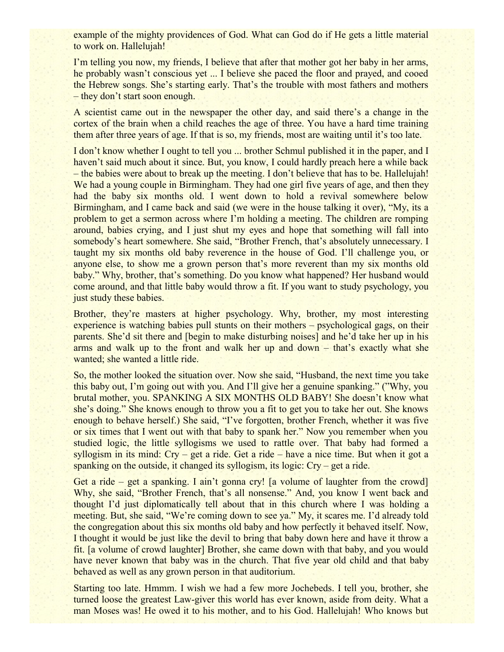example of the mighty providences of God. What can God do if He gets a little material to work on. Hallelujah!

I'm telling you now, my friends, I believe that after that mother got her baby in her arms, he probably wasn't conscious yet ... I believe she paced the floor and prayed, and cooed the Hebrew songs. She's starting early. That's the trouble with most fathers and mothers – they don't start soon enough.

A scientist came out in the newspaper the other day, and said there's a change in the cortex of the brain when a child reaches the age of three. You have a hard time training them after three years of age. If that is so, my friends, most are waiting until it's too late.

I don't know whether I ought to tell you ... brother Schmul published it in the paper, and I haven't said much about it since. But, you know, I could hardly preach here a while back – the babies were about to break up the meeting. I don't believe that has to be. Hallelujah! We had a young couple in Birmingham. They had one girl five years of age, and then they had the baby six months old. I went down to hold a revival somewhere below Birmingham, and I came back and said (we were in the house talking it over), "My, its a problem to get a sermon across where I'm holding a meeting. The children are romping around, babies crying, and I just shut my eyes and hope that something will fall into somebody's heart somewhere. She said, "Brother French, that's absolutely unnecessary. I taught my six months old baby reverence in the house of God. I'll challenge you, or anyone else, to show me a grown person that's more reverent than my six months old baby." Why, brother, that's something. Do you know what happened? Her husband would come around, and that little baby would throw a fit. If you want to study psychology, you just study these babies.

Brother, they're masters at higher psychology. Why, brother, my most interesting experience is watching babies pull stunts on their mothers – psychological gags, on their parents. She'd sit there and [begin to make disturbing noises] and he'd take her up in his arms and walk up to the front and walk her up and down – that's exactly what she wanted; she wanted a little ride.

So, the mother looked the situation over. Now she said, "Husband, the next time you take this baby out, I'm going out with you. And I'll give her a genuine spanking." ("Why, you brutal mother, you. SPANKING A SIX MONTHS OLD BABY! She doesn't know what she's doing." She knows enough to throw you a fit to get you to take her out. She knows enough to behave herself.) She said, "I've forgotten, brother French, whether it was five or six times that I went out with that baby to spank her." Now you remember when you studied logic, the little syllogisms we used to rattle over. That baby had formed a syllogism in its mind: Cry – get a ride. Get a ride – have a nice time. But when it got a spanking on the outside, it changed its syllogism, its logic: Cry – get a ride.

Get a ride – get a spanking. I ain't gonna cry! [a volume of laughter from the crowd] Why, she said, "Brother French, that's all nonsense." And, you know I went back and thought I'd just diplomatically tell about that in this church where I was holding a meeting. But, she said, "We're coming down to see ya." My, it scares me. I'd already told the congregation about this six months old baby and how perfectly it behaved itself. Now, I thought it would be just like the devil to bring that baby down here and have it throw a fit. [a volume of crowd laughter] Brother, she came down with that baby, and you would have never known that baby was in the church. That five year old child and that baby behaved as well as any grown person in that auditorium.

Starting too late. Hmmm. I wish we had a few more Jochebeds. I tell you, brother, she turned loose the greatest Law-giver this world has ever known, aside from deity. What a man Moses was! He owed it to his mother, and to his God. Hallelujah! Who knows but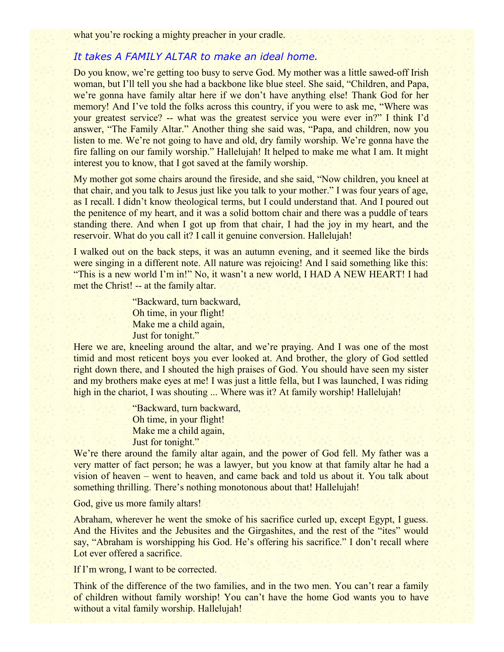what you're rocking a mighty preacher in your cradle.

# *It takes A FAMILY ALTAR to make an ideal home.*

Do you know, we're getting too busy to serve God. My mother was a little sawed-off Irish woman, but I'll tell you she had a backbone like blue steel. She said, "Children, and Papa, we're gonna have family altar here if we don't have anything else! Thank God for her memory! And I've told the folks across this country, if you were to ask me, "Where was your greatest service? -- what was the greatest service you were ever in?" I think I'd answer, "The Family Altar." Another thing she said was, "Papa, and children, now you listen to me. We're not going to have and old, dry family worship. We're gonna have the fire falling on our family worship." Hallelujah! It helped to make me what I am. It might interest you to know, that I got saved at the family worship.

My mother got some chairs around the fireside, and she said, "Now children, you kneel at that chair, and you talk to Jesus just like you talk to your mother." I was four years of age, as I recall. I didn't know theological terms, but I could understand that. And I poured out the penitence of my heart, and it was a solid bottom chair and there was a puddle of tears standing there. And when I got up from that chair, I had the joy in my heart, and the reservoir. What do you call it? I call it genuine conversion. Hallelujah!

I walked out on the back steps, it was an autumn evening, and it seemed like the birds were singing in a different note. All nature was rejoicing! And I said something like this: "This is a new world I'm in!" No, it wasn't a new world, I HAD A NEW HEART! I had met the Christ! -- at the family altar.

> "Backward, turn backward, Oh time, in your flight! Make me a child again, Just for tonight."

Here we are, kneeling around the altar, and we're praying. And I was one of the most timid and most reticent boys you ever looked at. And brother, the glory of God settled right down there, and I shouted the high praises of God. You should have seen my sister and my brothers make eyes at me! I was just a little fella, but I was launched, I was riding high in the chariot, I was shouting ... Where was it? At family worship! Hallelujah!

> "Backward, turn backward, Oh time, in your flight! Make me a child again, Just for tonight."

We're there around the family altar again, and the power of God fell. My father was a very matter of fact person; he was a lawyer, but you know at that family altar he had a vision of heaven – went to heaven, and came back and told us about it. You talk about something thrilling. There's nothing monotonous about that! Hallelujah!

God, give us more family altars!

Abraham, wherever he went the smoke of his sacrifice curled up, except Egypt, I guess. And the Hivites and the Jebusites and the Girgashites, and the rest of the "ites" would say, "Abraham is worshipping his God. He's offering his sacrifice." I don't recall where Lot ever offered a sacrifice.

If I'm wrong, I want to be corrected.

Think of the difference of the two families, and in the two men. You can't rear a family of children without family worship! You can't have the home God wants you to have without a vital family worship. Hallelujah!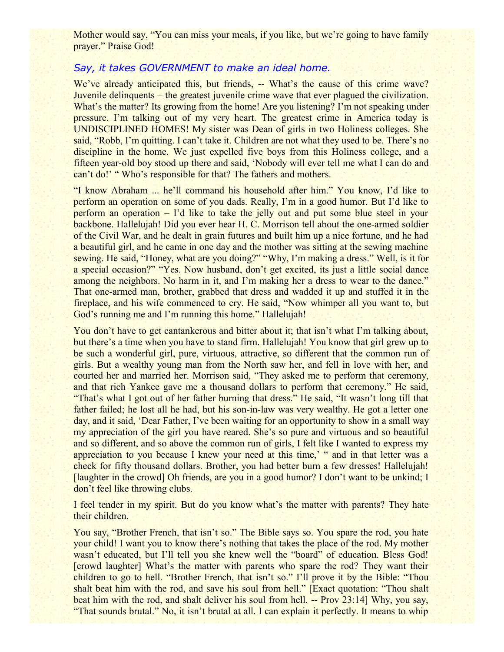Mother would say, "You can miss your meals, if you like, but we're going to have family prayer." Praise God!

#### *Say, it takes GOVERNMENT to make an ideal home.*

We've already anticipated this, but friends, -- What's the cause of this crime wave? Juvenile delinquents – the greatest juvenile crime wave that ever plagued the civilization. What's the matter? Its growing from the home! Are you listening? I'm not speaking under pressure. I'm talking out of my very heart. The greatest crime in America today is UNDISCIPLINED HOMES! My sister was Dean of girls in two Holiness colleges. She said, "Robb, I'm quitting. I can't take it. Children are not what they used to be. There's no discipline in the home. We just expelled five boys from this Holiness college, and a fifteen year-old boy stood up there and said, 'Nobody will ever tell me what I can do and can't do!' " Who's responsible for that? The fathers and mothers.

"I know Abraham ... he'll command his household after him." You know, I'd like to perform an operation on some of you dads. Really, I'm in a good humor. But I'd like to perform an operation – I'd like to take the jelly out and put some blue steel in your backbone. Hallelujah! Did you ever hear H. C. Morrison tell about the one-armed soldier of the Civil War, and he dealt in grain futures and built him up a nice fortune, and he had a beautiful girl, and he came in one day and the mother was sitting at the sewing machine sewing. He said, "Honey, what are you doing?" "Why, I'm making a dress." Well, is it for a special occasion?" "Yes. Now husband, don't get excited, its just a little social dance among the neighbors. No harm in it, and I'm making her a dress to wear to the dance." That one-armed man, brother, grabbed that dress and wadded it up and stuffed it in the fireplace, and his wife commenced to cry. He said, "Now whimper all you want to, but God's running me and I'm running this home." Hallelujah!

You don't have to get cantankerous and bitter about it; that isn't what I'm talking about, but there's a time when you have to stand firm. Hallelujah! You know that girl grew up to be such a wonderful girl, pure, virtuous, attractive, so different that the common run of girls. But a wealthy young man from the North saw her, and fell in love with her, and courted her and married her. Morrison said, "They asked me to perform that ceremony, and that rich Yankee gave me a thousand dollars to perform that ceremony." He said, "That's what I got out of her father burning that dress." He said, "It wasn't long till that father failed; he lost all he had, but his son-in-law was very wealthy. He got a letter one day, and it said, 'Dear Father, I've been waiting for an opportunity to show in a small way my appreciation of the girl you have reared. She's so pure and virtuous and so beautiful and so different, and so above the common run of girls, I felt like I wanted to express my appreciation to you because I knew your need at this time,' " and in that letter was a check for fifty thousand dollars. Brother, you had better burn a few dresses! Hallelujah! [laughter in the crowd] Oh friends, are you in a good humor? I don't want to be unkind; I don't feel like throwing clubs.

I feel tender in my spirit. But do you know what's the matter with parents? They hate their children.

You say, "Brother French, that isn't so." The Bible says so. You spare the rod, you hate your child! I want you to know there's nothing that takes the place of the rod. My mother wasn't educated, but I'll tell you she knew well the "board" of education. Bless God! [crowd laughter] What's the matter with parents who spare the rod? They want their children to go to hell. "Brother French, that isn't so." I'll prove it by the Bible: "Thou shalt beat him with the rod, and save his soul from hell." [Exact quotation: "Thou shalt beat him with the rod, and shalt deliver his soul from hell. -- Prov 23:14] Why, you say, "That sounds brutal." No, it isn't brutal at all. I can explain it perfectly. It means to whip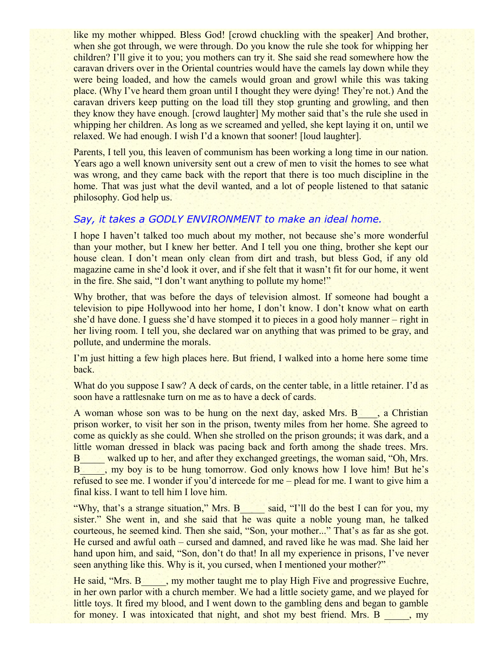like my mother whipped. Bless God! [crowd chuckling with the speaker] And brother, when she got through, we were through. Do you know the rule she took for whipping her children? I'll give it to you; you mothers can try it. She said she read somewhere how the caravan drivers over in the Oriental countries would have the camels lay down while they were being loaded, and how the camels would groan and growl while this was taking place. (Why I've heard them groan until I thought they were dying! They're not.) And the caravan drivers keep putting on the load till they stop grunting and growling, and then they know they have enough. [crowd laughter] My mother said that's the rule she used in whipping her children. As long as we screamed and yelled, she kept laying it on, until we relaxed. We had enough. I wish I'd a known that sooner! [loud laughter].

Parents, I tell you, this leaven of communism has been working a long time in our nation. Years ago a well known university sent out a crew of men to visit the homes to see what was wrong, and they came back with the report that there is too much discipline in the home. That was just what the devil wanted, and a lot of people listened to that satanic philosophy. God help us.

# *Say, it takes a GODLY ENVIRONMENT to make an ideal home.*

I hope I haven't talked too much about my mother, not because she's more wonderful than your mother, but I knew her better. And I tell you one thing, brother she kept our house clean. I don't mean only clean from dirt and trash, but bless God, if any old magazine came in she'd look it over, and if she felt that it wasn't fit for our home, it went in the fire. She said, "I don't want anything to pollute my home!"

Why brother, that was before the days of television almost. If someone had bought a television to pipe Hollywood into her home, I don't know. I don't know what on earth she'd have done. I guess she'd have stomped it to pieces in a good holy manner – right in her living room. I tell you, she declared war on anything that was primed to be gray, and pollute, and undermine the morals.

I'm just hitting a few high places here. But friend, I walked into a home here some time back.

What do you suppose I saw? A deck of cards, on the center table, in a little retainer. I'd as soon have a rattlesnake turn on me as to have a deck of cards.

A woman whose son was to be hung on the next day, asked Mrs. B a Christian prison worker, to visit her son in the prison, twenty miles from her home. She agreed to come as quickly as she could. When she strolled on the prison grounds; it was dark, and a little woman dressed in black was pacing back and forth among the shade trees. Mrs. B<sub>walked up to her, and after they exchanged greetings, the woman said, "Oh, Mrs.</sub> B<sub>1</sub>, my boy is to be hung tomorrow. God only knows how I love him! But he's refused to see me. I wonder if you'd intercede for me – plead for me. I want to give him a final kiss. I want to tell him I love him.

"Why, that's a strange situation," Mrs. B\_\_\_\_\_ said, "I'll do the best I can for you, my sister." She went in, and she said that he was quite a noble young man, he talked courteous, he seemed kind. Then she said, "Son, your mother..." That's as far as she got. He cursed and awful oath – cursed and damned, and raved like he was mad. She laid her hand upon him, and said, "Son, don't do that! In all my experience in prisons, I've never seen anything like this. Why is it, you cursed, when I mentioned your mother?"

He said, "Mrs. B \_\_\_, my mother taught me to play High Five and progressive Euchre, in her own parlor with a church member. We had a little society game, and we played for little toys. It fired my blood, and I went down to the gambling dens and began to gamble for money. I was intoxicated that night, and shot my best friend. Mrs. B \_\_\_\_, my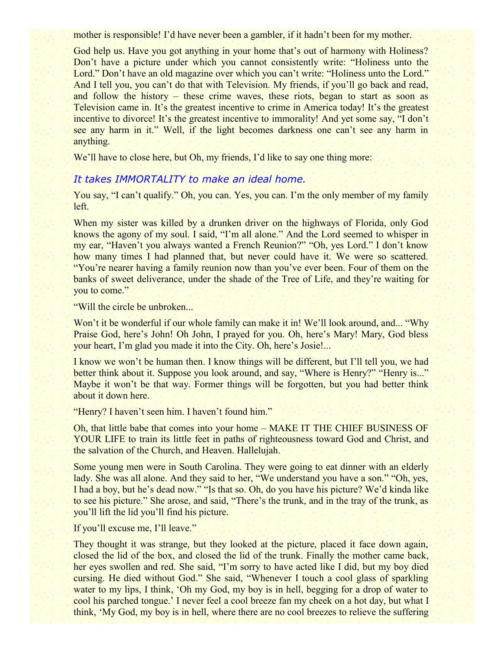mother is responsible! I'd have never been a gambler, if it hadn't been for my mother.

God help us. Have you got anything in your home that's out of harmony with Holiness? Don't have a picture under which you cannot consistently write: "Holiness unto the Lord." Don't have an old magazine over which you can't write: "Holiness unto the Lord." And I tell you, you can't do that with Television. My friends, if you'll go back and read, and follow the history – these crime waves, these riots, began to start as soon as Television came in. It's the greatest incentive to crime in America today! It's the greatest incentive to divorce! It's the greatest incentive to immorality! And yet some say, "I don't see any harm in it." Well, if the light becomes darkness one can't see any harm in anything.

We'll have to close here, but Oh, my friends, I'd like to say one thing more:

## *It takes IMMORTALITY to make an ideal home.*

You say, "I can't qualify." Oh, you can. Yes, you can. I'm the only member of my family left.

When my sister was killed by a drunken driver on the highways of Florida, only God knows the agony of my soul. I said, "I'm all alone." And the Lord seemed to whisper in my ear, "Haven't you always wanted a French Reunion?" "Oh, yes Lord." I don't know how many times I had planned that, but never could have it. We were so scattered. "You're nearer having a family reunion now than you've ever been. Four of them on the banks of sweet deliverance, under the shade of the Tree of Life, and they're waiting for you to come."

"Will the circle be unbroken...

Won't it be wonderful if our whole family can make it in! We'll look around, and... "Why Praise God, here's John! Oh John, I prayed for you. Oh, here's Mary! Mary, God bless your heart, I'm glad you made it into the City. Oh, here's Josie!...

I know we won't be human then. I know things will be different, but I'll tell you, we had better think about it. Suppose you look around, and say, "Where is Henry?" "Henry is..." Maybe it won't be that way. Former things will be forgotten, but you had better think about it down here.

"Henry? I haven't seen him. I haven't found him."

Oh, that little babe that comes into your home – MAKE IT THE CHIEF BUSINESS OF YOUR LIFE to train its little feet in paths of righteousness toward God and Christ, and the salvation of the Church, and Heaven. Hallelujah.

Some young men were in South Carolina. They were going to eat dinner with an elderly lady. She was all alone. And they said to her, "We understand you have a son." "Oh, yes, I had a boy, but he's dead now." "Is that so. Oh, do you have his picture? We'd kinda like to see his picture." She arose, and said, "There's the trunk, and in the tray of the trunk, as you'll lift the lid you'll find his picture.

If you'll excuse me, I'll leave."

They thought it was strange, but they looked at the picture, placed it face down again, closed the lid of the box, and closed the lid of the trunk. Finally the mother came back, her eyes swollen and red. She said, "I'm sorry to have acted like I did, but my boy died cursing. He died without God." She said, "Whenever I touch a cool glass of sparkling water to my lips, I think, 'Oh my God, my boy is in hell, begging for a drop of water to cool his parched tongue.' I never feel a cool breeze fan my cheek on a hot day, but what I think, 'My God, my boy is in hell, where there are no cool breezes to relieve the suffering